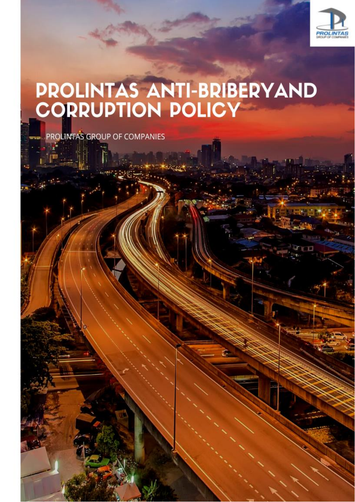

# **PROLINTAS ANTI-BRIBERYAND<br>CORRUPTION POLICY**

PROLINTAS GROUP OF COMPANIES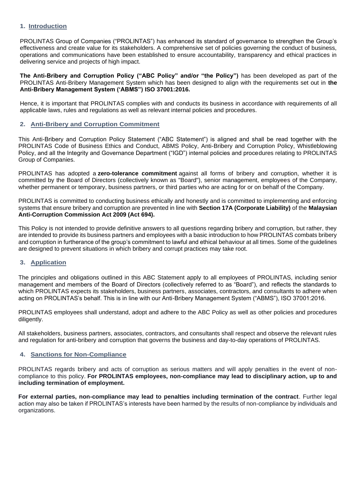## **1. Introduction**

PROLINTAS Group of Companies ("PROLINTAS") has enhanced its standard of governance to strengthen the Group's effectiveness and create value for its stakeholders. A comprehensive set of policies governing the conduct of business, operations and communications have been established to ensure accountability, transparency and ethical practices in delivering service and projects of high impact.

**The Anti-Bribery and Corruption Policy ("ABC Policy" and/or "the Policy")** has been developed as part of the PROLINTAS Anti-Bribery Management System which has been designed to align with the requirements set out in **the Anti-Bribery Management System ('ABMS") ISO 37001:2016.**

Hence, it is important that PROLINTAS complies with and conducts its business in accordance with requirements of all applicable laws, rules and regulations as well as relevant internal policies and procedures.

#### **2. Anti-Bribery and Corruption Commitment**

This Anti-Bribery and Corruption Policy Statement ("ABC Statement") is aligned and shall be read together with the PROLINTAS Code of Business Ethics and Conduct, ABMS Policy, Anti-Bribery and Corruption Policy, Whistleblowing Policy, and all the Integrity and Governance Department ("IGD") internal policies and procedures relating to PROLINTAS Group of Companies.

PROLINTAS has adopted a **zero-tolerance commitment** against all forms of bribery and corruption, whether it is committed by the Board of Directors (collectively known as "Board"), senior management, employees of the Company, whether permanent or temporary, business partners, or third parties who are acting for or on behalf of the Company.

PROLINTAS is committed to conducting business ethically and honestly and is committed to implementing and enforcing systems that ensure bribery and corruption are prevented in line with **Section 17A (Corporate Liability)** of the **Malaysian Anti-Corruption Commission Act 2009 (Act 694).**

This Policy is not intended to provide definitive answers to all questions regarding bribery and corruption, but rather, they are intended to provide its business partners and employees with a basic introduction to how PROLINTAS combats bribery and corruption in furtherance of the group's commitment to lawful and ethical behaviour at all times. Some of the guidelines are designed to prevent situations in which bribery and corrupt practices may take root.

#### **3. Application**

The principles and obligations outlined in this ABC Statement apply to all employees of PROLINTAS, including senior management and members of the Board of Directors (collectively referred to as "Board"), and reflects the standards to which PROLINTAS expects its stakeholders, business partners, associates, contractors, and consultants to adhere when acting on PROLINTAS's behalf. This is in line with our Anti-Bribery Management System ("ABMS"), ISO 37001:2016.

PROLINTAS employees shall understand, adopt and adhere to the ABC Policy as well as other policies and procedures diligently.

All stakeholders, business partners, associates, contractors, and consultants shall respect and observe the relevant rules and regulation for anti-bribery and corruption that governs the business and day-to-day operations of PROLINTAS.

# **4. Sanctions for Non-Compliance**

PROLINTAS regards bribery and acts of corruption as serious matters and will apply penalties in the event of noncompliance to this policy. **For PROLINTAS employees, non-compliance may lead to disciplinary action, up to and including termination of employment.**

**For external parties, non-compliance may lead to penalties including termination of the contract**. Further legal action may also be taken if PROLINTAS's interests have been harmed by the results of non-compliance by individuals and organizations.